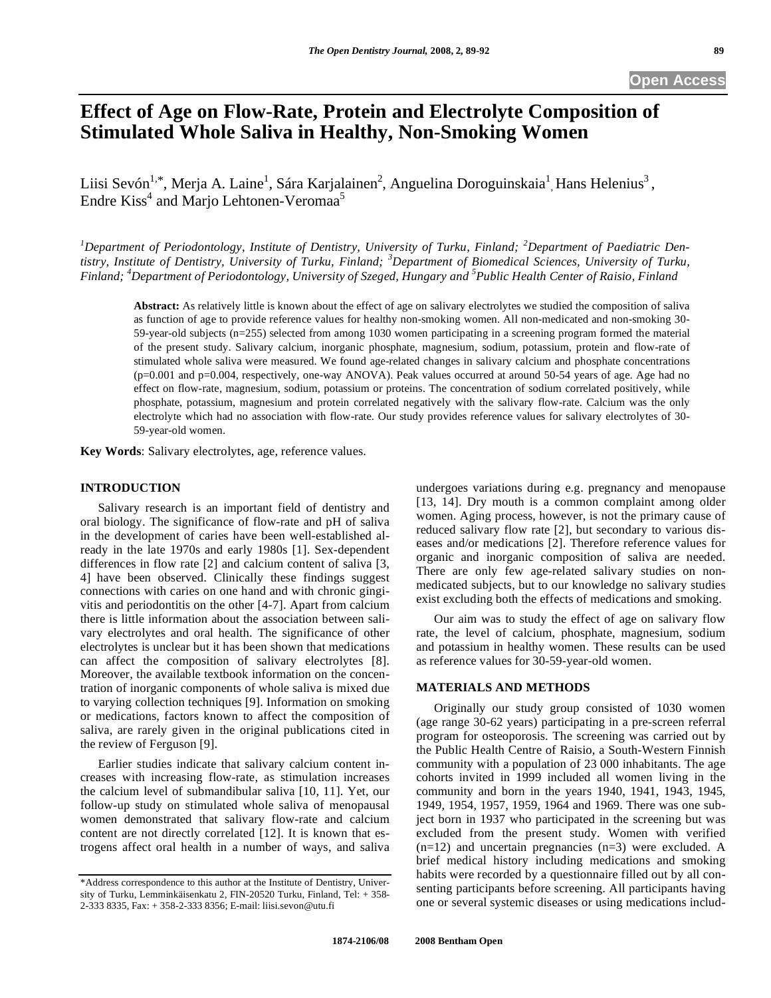# **Effect of Age on Flow-Rate, Protein and Electrolyte Composition of Stimulated Whole Saliva in Healthy, Non-Smoking Women**

Liisi Sevón<sup>1,\*</sup>, Merja A. Laine<sup>1</sup>, Sára Karjalainen<sup>2</sup>, Anguelina Doroguinskaia<sup>1</sup>, Hans Helenius<sup>3</sup>, Endre Kiss<sup>4</sup> and Marjo Lehtonen-Veromaa<sup>5</sup>

<sup>1</sup>Department of Periodontology, Institute of Dentistry, University of Turku, Finland; <sup>2</sup>Department of Paediatric Den*tistry, Institute of Dentistry, University of Turku, Finland; <sup>3</sup> Department of Biomedical Sciences, University of Turku, Finland; 4 Department of Periodontology, University of Szeged, Hungary and 5 Public Health Center of Raisio, Finland* 

**Abstract:** As relatively little is known about the effect of age on salivary electrolytes we studied the composition of saliva as function of age to provide reference values for healthy non-smoking women. All non-medicated and non-smoking 30- 59-year-old subjects (n=255) selected from among 1030 women participating in a screening program formed the material of the present study. Salivary calcium, inorganic phosphate, magnesium, sodium, potassium, protein and flow-rate of stimulated whole saliva were measured. We found age-related changes in salivary calcium and phosphate concentrations (p=0.001 and p=0.004, respectively, one-way ANOVA). Peak values occurred at around 50-54 years of age. Age had no effect on flow-rate, magnesium, sodium, potassium or proteins. The concentration of sodium correlated positively, while phosphate, potassium, magnesium and protein correlated negatively with the salivary flow-rate. Calcium was the only electrolyte which had no association with flow-rate. Our study provides reference values for salivary electrolytes of 30- 59-year-old women.

**Key Words**: Salivary electrolytes, age, reference values.

### **INTRODUCTION**

 Salivary research is an important field of dentistry and oral biology. The significance of flow-rate and pH of saliva in the development of caries have been well-established already in the late 1970s and early 1980s [1]. Sex-dependent differences in flow rate [2] and calcium content of saliva [3, 4] have been observed. Clinically these findings suggest connections with caries on one hand and with chronic gingivitis and periodontitis on the other [4-7]. Apart from calcium there is little information about the association between salivary electrolytes and oral health. The significance of other electrolytes is unclear but it has been shown that medications can affect the composition of salivary electrolytes [8]. Moreover, the available textbook information on the concentration of inorganic components of whole saliva is mixed due to varying collection techniques [9]. Information on smoking or medications, factors known to affect the composition of saliva, are rarely given in the original publications cited in the review of Ferguson [9].

 Earlier studies indicate that salivary calcium content increases with increasing flow-rate, as stimulation increases the calcium level of submandibular saliva [10, 11]. Yet, our follow-up study on stimulated whole saliva of menopausal women demonstrated that salivary flow-rate and calcium content are not directly correlated [12]. It is known that estrogens affect oral health in a number of ways, and saliva

undergoes variations during e.g. pregnancy and menopause [13, 14]. Dry mouth is a common complaint among older women. Aging process, however, is not the primary cause of reduced salivary flow rate [2], but secondary to various diseases and/or medications [2]. Therefore reference values for organic and inorganic composition of saliva are needed. There are only few age-related salivary studies on nonmedicated subjects, but to our knowledge no salivary studies exist excluding both the effects of medications and smoking.

 Our aim was to study the effect of age on salivary flow rate, the level of calcium, phosphate, magnesium, sodium and potassium in healthy women. These results can be used as reference values for 30-59-year-old women.

## **MATERIALS AND METHODS**

 Originally our study group consisted of 1030 women (age range 30-62 years) participating in a pre-screen referral program for osteoporosis. The screening was carried out by the Public Health Centre of Raisio, a South-Western Finnish community with a population of 23 000 inhabitants. The age cohorts invited in 1999 included all women living in the community and born in the years 1940, 1941, 1943, 1945, 1949, 1954, 1957, 1959, 1964 and 1969. There was one subject born in 1937 who participated in the screening but was excluded from the present study. Women with verified  $(n=12)$  and uncertain pregnancies  $(n=3)$  were excluded. A brief medical history including medications and smoking habits were recorded by a questionnaire filled out by all consenting participants before screening. All participants having one or several systemic diseases or using medications includ-

<sup>\*</sup>Address correspondence to this author at the Institute of Dentistry, University of Turku, Lemminkäisenkatu 2, FIN-20520 Turku, Finland, Tel: + 358- 2-333 8335, Fax: + 358-2-333 8356; E-mail: liisi.sevon@utu.fi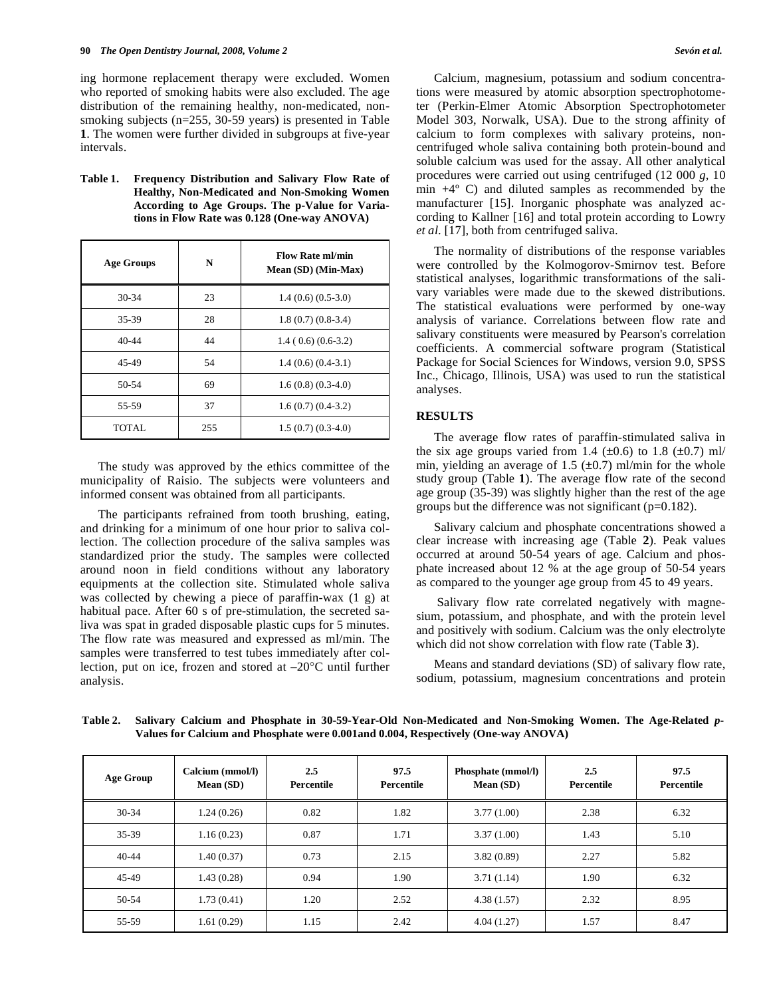ing hormone replacement therapy were excluded. Women who reported of smoking habits were also excluded. The age distribution of the remaining healthy, non-medicated, nonsmoking subjects (n=255, 30-59 years) is presented in Table **1**. The women were further divided in subgroups at five-year intervals.

**Table 1. Frequency Distribution and Salivary Flow Rate of Healthy, Non-Medicated and Non-Smoking Women According to Age Groups. The p-Value for Variations in Flow Rate was 0.128 (One-way ANOVA)** 

| <b>Age Groups</b> | N   | <b>Flow Rate ml/min</b><br>Mean (SD) (Min-Max) |
|-------------------|-----|------------------------------------------------|
| $30-34$           | 23  | $1.4(0.6)(0.5-3.0)$                            |
| 35-39             | 28  | $1.8(0.7)(0.8-3.4)$                            |
| $40 - 44$         | 44  | $1.4(0.6)(0.6-3.2)$                            |
| 45-49             | 54  | $1.4(0.6)(0.4-3.1)$                            |
| 50-54             | 69  | $1.6(0.8)(0.3-4.0)$                            |
| 55-59             | 37  | $1.6(0.7)(0.4-3.2)$                            |
| TOTAL.            | 255 | $1.5(0.7)(0.3-4.0)$                            |

 The study was approved by the ethics committee of the municipality of Raisio. The subjects were volunteers and informed consent was obtained from all participants.

 The participants refrained from tooth brushing, eating, and drinking for a minimum of one hour prior to saliva collection. The collection procedure of the saliva samples was standardized prior the study. The samples were collected around noon in field conditions without any laboratory equipments at the collection site. Stimulated whole saliva was collected by chewing a piece of paraffin-wax (1 g) at habitual pace. After 60 s of pre-stimulation, the secreted saliva was spat in graded disposable plastic cups for 5 minutes. The flow rate was measured and expressed as ml/min. The samples were transferred to test tubes immediately after collection, put on ice, frozen and stored at –20°C until further analysis.

 Calcium, magnesium, potassium and sodium concentrations were measured by atomic absorption spectrophotometer (Perkin-Elmer Atomic Absorption Spectrophotometer Model 303, Norwalk, USA). Due to the strong affinity of calcium to form complexes with salivary proteins, noncentrifuged whole saliva containing both protein-bound and soluble calcium was used for the assay. All other analytical procedures were carried out using centrifuged (12 000 *g*, 10 min +4º C) and diluted samples as recommended by the manufacturer [15]. Inorganic phosphate was analyzed according to Kallner [16] and total protein according to Lowry *et al*. [17], both from centrifuged saliva.

 The normality of distributions of the response variables were controlled by the Kolmogorov-Smirnov test. Before statistical analyses, logarithmic transformations of the salivary variables were made due to the skewed distributions. The statistical evaluations were performed by one-way analysis of variance. Correlations between flow rate and salivary constituents were measured by Pearson's correlation coefficients. A commercial software program (Statistical Package for Social Sciences for Windows, version 9.0, SPSS Inc., Chicago, Illinois, USA) was used to run the statistical analyses.

# **RESULTS**

 The average flow rates of paraffin-stimulated saliva in the six age groups varied from 1.4 ( $\pm$ 0.6) to 1.8 ( $\pm$ 0.7) ml/ min, yielding an average of 1.5  $(\pm 0.7)$  ml/min for the whole study group (Table **1**). The average flow rate of the second age group (35-39) was slightly higher than the rest of the age groups but the difference was not significant (p=0.182).

 Salivary calcium and phosphate concentrations showed a clear increase with increasing age (Table **2**). Peak values occurred at around 50-54 years of age. Calcium and phosphate increased about 12 % at the age group of 50-54 years as compared to the younger age group from 45 to 49 years.

 Salivary flow rate correlated negatively with magnesium, potassium, and phosphate, and with the protein level and positively with sodium. Calcium was the only electrolyte which did not show correlation with flow rate (Table **3**).

 Means and standard deviations (SD) of salivary flow rate, sodium, potassium, magnesium concentrations and protein

| <b>Age Group</b> | Calcium (mmol/l)<br>Mean(SD) | 2.5<br>Percentile | 97.5<br>Percentile | <b>Phosphate (mmol/l)</b><br>Mean (SD) | 2.5<br>Percentile | 97.5<br><b>Percentile</b> |
|------------------|------------------------------|-------------------|--------------------|----------------------------------------|-------------------|---------------------------|
| $30-34$          | 1.24(0.26)                   | 0.82              | 1.82               | 3.77(1.00)                             | 2.38              | 6.32                      |
| $35-39$          | 1.16(0.23)                   | 0.87              | 1.71               | 3.37(1.00)                             | 1.43              | 5.10                      |
| $40 - 44$        | 1.40(0.37)                   | 0.73              | 2.15               | 3.82(0.89)                             | 2.27              | 5.82                      |
| 45-49            | 1.43(0.28)                   | 0.94              | 1.90               | 3.71(1.14)                             | 1.90              | 6.32                      |
| 50-54            | 1.73(0.41)                   | 1.20              | 2.52               | 4.38(1.57)                             | 2.32              | 8.95                      |
| 55-59            | 1.61(0.29)                   | 1.15              | 2.42               | 4.04(1.27)                             | 1.57              | 8.47                      |

**Table 2. Salivary Calcium and Phosphate in 30-59-Year-Old Non-Medicated and Non-Smoking Women. The Age-Related** *p***-Values for Calcium and Phosphate were 0.001and 0.004, Respectively (One-way ANOVA)**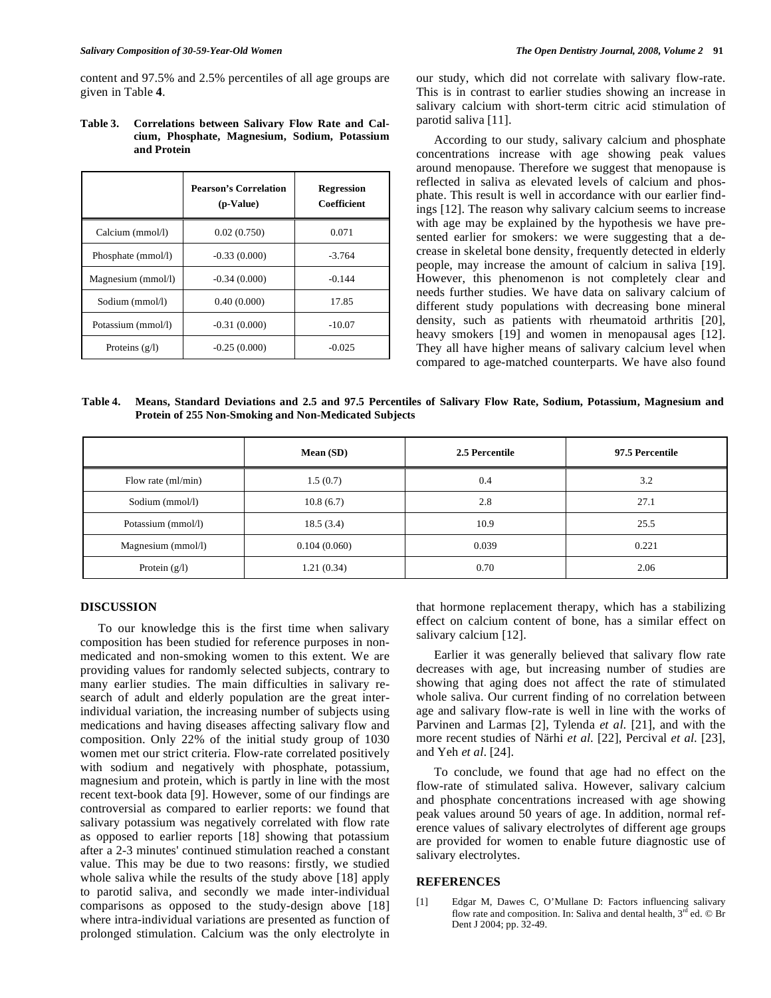content and 97.5% and 2.5% percentiles of all age groups are given in Table **4**.

## **Table 3. Correlations between Salivary Flow Rate and Calcium, Phosphate, Magnesium, Sodium, Potassium and Protein**

|                    | <b>Pearson's Correlation</b><br>(p-Value) | <b>Regression</b><br><b>Coefficient</b> |  |
|--------------------|-------------------------------------------|-----------------------------------------|--|
| Calcium (mmol/l)   | 0.02(0.750)                               | 0.071                                   |  |
| Phosphate (mmol/l) | $-0.33(0.000)$                            | $-3.764$                                |  |
| Magnesium (mmol/l) | $-0.34(0.000)$                            | $-0.144$                                |  |
| Sodium (mmol/l)    | 0.40(0.000)                               | 17.85                                   |  |
| Potassium (mmol/l) | $-0.31(0.000)$                            | $-10.07$                                |  |
| Proteins $(g/l)$   | $-0.25(0.000)$                            | $-0.025$                                |  |

our study, which did not correlate with salivary flow-rate. This is in contrast to earlier studies showing an increase in salivary calcium with short-term citric acid stimulation of parotid saliva [11].

 According to our study, salivary calcium and phosphate concentrations increase with age showing peak values around menopause. Therefore we suggest that menopause is reflected in saliva as elevated levels of calcium and phosphate. This result is well in accordance with our earlier findings [12]. The reason why salivary calcium seems to increase with age may be explained by the hypothesis we have presented earlier for smokers: we were suggesting that a decrease in skeletal bone density, frequently detected in elderly people, may increase the amount of calcium in saliva [19]. However, this phenomenon is not completely clear and needs further studies. We have data on salivary calcium of different study populations with decreasing bone mineral density, such as patients with rheumatoid arthritis [20], heavy smokers [19] and women in menopausal ages [12]. They all have higher means of salivary calcium level when compared to age-matched counterparts. We have also found

**Table 4. Means, Standard Deviations and 2.5 and 97.5 Percentiles of Salivary Flow Rate, Sodium, Potassium, Magnesium and Protein of 255 Non-Smoking and Non-Medicated Subjects** 

|                    | Mean(SD)     | 2.5 Percentile | 97.5 Percentile |
|--------------------|--------------|----------------|-----------------|
| Flow rate (ml/min) | 1.5(0.7)     | 0.4            | 3.2             |
| Sodium (mmol/l)    | 10.8(6.7)    | 2.8            | 27.1            |
| Potassium (mmol/l) | 18.5(3.4)    | 10.9           | 25.5            |
| Magnesium (mmol/l) | 0.104(0.060) | 0.039          | 0.221           |
| Protein $(g/l)$    | 1.21(0.34)   | 0.70           | 2.06            |

## **DISCUSSION**

 To our knowledge this is the first time when salivary composition has been studied for reference purposes in nonmedicated and non-smoking women to this extent. We are providing values for randomly selected subjects, contrary to many earlier studies. The main difficulties in salivary research of adult and elderly population are the great interindividual variation, the increasing number of subjects using medications and having diseases affecting salivary flow and composition. Only 22% of the initial study group of 1030 women met our strict criteria. Flow-rate correlated positively with sodium and negatively with phosphate, potassium, magnesium and protein, which is partly in line with the most recent text-book data [9]. However, some of our findings are controversial as compared to earlier reports: we found that salivary potassium was negatively correlated with flow rate as opposed to earlier reports [18] showing that potassium after a 2-3 minutes' continued stimulation reached a constant value. This may be due to two reasons: firstly, we studied whole saliva while the results of the study above [18] apply to parotid saliva, and secondly we made inter-individual comparisons as opposed to the study-design above [18] where intra-individual variations are presented as function of prolonged stimulation. Calcium was the only electrolyte in that hormone replacement therapy, which has a stabilizing effect on calcium content of bone, has a similar effect on salivary calcium [12].

 Earlier it was generally believed that salivary flow rate decreases with age, but increasing number of studies are showing that aging does not affect the rate of stimulated whole saliva. Our current finding of no correlation between age and salivary flow-rate is well in line with the works of Parvinen and Larmas [2], Tylenda *et al*. [21], and with the more recent studies of Närhi *et al*. [22], Percival *et al*. [23], and Yeh *et al*. [24].

 To conclude, we found that age had no effect on the flow-rate of stimulated saliva. However, salivary calcium and phosphate concentrations increased with age showing peak values around 50 years of age. In addition, normal reference values of salivary electrolytes of different age groups are provided for women to enable future diagnostic use of salivary electrolytes.

## **REFERENCES**

[1] Edgar M, Dawes C, O'Mullane D: Factors influencing salivary flow rate and composition. In: Saliva and dental health,  $3<sup>rd</sup>$  ed. © Br Dent J 2004; pp. 32-49.